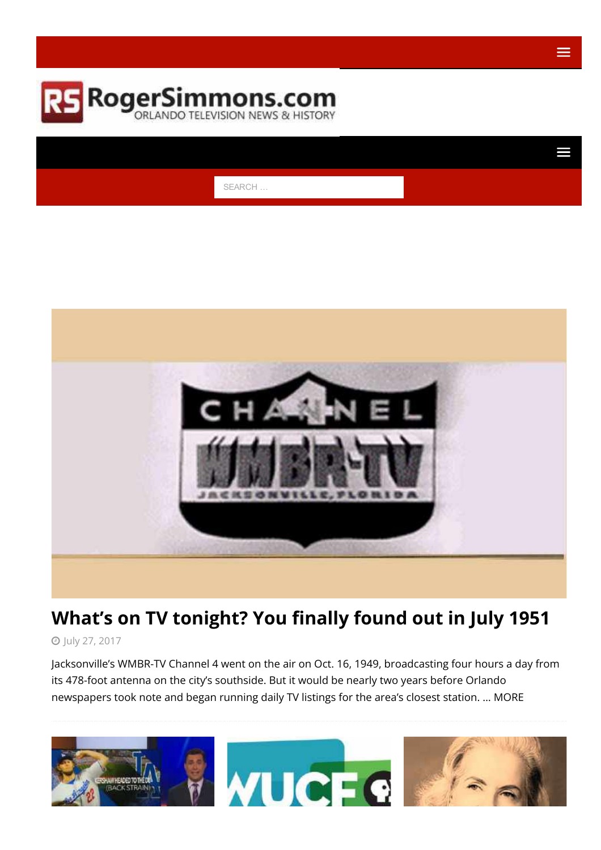

SEARCH …



# What's on TV [tonight?](https://rogersimmons.com/whats-on-tv-tonight-you-could-finally-find-out-in-july-1951/2017/07/27/) You finally found out in July 1951

July 27, [2017](https://rogersimmons.com/2017/07/)

Jacksonville's WMBR-TV Channel 4 went on the air on Oct. 16, 1949, broadcasting four hours a day from its 478-foot antenna on the city's southside. But it would be nearly two years before Orlando newspapers took note and began running daily TV listings for the area's closest station. … [MORE](https://rogersimmons.com/whats-on-tv-tonight-you-could-finally-find-out-in-july-1951/2017/07/27/)

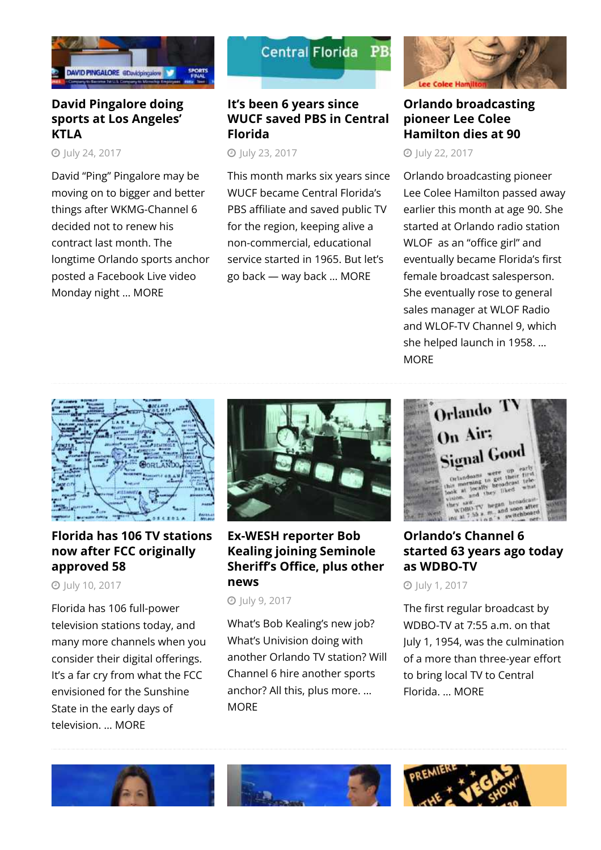

### David [Pingalore](https://rogersimmons.com/david-pingalore-doing-sports-at-los-angeles-ktla/2017/07/24/) doing sports at Los [Angeles'](https://rogersimmons.com/david-pingalore-doing-sports-at-los-angeles-ktla/2017/07/24/) **[KTLA](https://rogersimmons.com/david-pingalore-doing-sports-at-los-angeles-ktla/2017/07/24/)**

**O** luly 24, [2017](https://rogersimmons.com/2017/07/)

David "Ping" Pingalore may be moving on to bigger and better things after WKMG-Channel 6 decided not to renew his contract last month. The longtime Orlando sports anchor posted a Facebook Live video Monday night … [MORE](https://rogersimmons.com/david-pingalore-doing-sports-at-los-angeles-ktla/2017/07/24/)



### It's been 6 [years](https://rogersimmons.com/its-been-6-years-since-wucf-saved-pbs-in-central-florida/2017/07/23/) since WUCF saved PBS in [Central](https://rogersimmons.com/its-been-6-years-since-wucf-saved-pbs-in-central-florida/2017/07/23/) [Florida](https://rogersimmons.com/its-been-6-years-since-wucf-saved-pbs-in-central-florida/2017/07/23/)

**O** luly 23, [2017](https://rogersimmons.com/2017/07/)

This month marks six years since WUCF became Central Florida's PBS affiliate and saved public TV for the region, keeping alive a non-commercial, educational service started in 1965. But let's go back — way back … [MORE](https://rogersimmons.com/its-been-6-years-since-wucf-saved-pbs-in-central-florida/2017/07/23/)



Orlando [broadcasting](https://rogersimmons.com/orlando-broadcasting-pioneer-lee-colee-hamilton-dies-at-90/2017/07/22/) [pioneer](https://rogersimmons.com/orlando-broadcasting-pioneer-lee-colee-hamilton-dies-at-90/2017/07/22/) Lee Colee [Hamilton](https://rogersimmons.com/orlando-broadcasting-pioneer-lee-colee-hamilton-dies-at-90/2017/07/22/) dies at 90

**O** luly 22, [2017](https://rogersimmons.com/2017/07/)

Orlando broadcasting pioneer Lee Colee Hamilton passed away earlier this month at age 90. She started at Orlando radio station WLOF as an "office girl" and eventually became Florida's first female broadcast salesperson. She eventually rose to general sales manager at WLOF Radio and WLOF-TV Channel 9, which she helped launch in 1958. […](https://rogersimmons.com/orlando-broadcasting-pioneer-lee-colee-hamilton-dies-at-90/2017/07/22/) [MORE](https://rogersimmons.com/orlando-broadcasting-pioneer-lee-colee-hamilton-dies-at-90/2017/07/22/)



# Florida has 106 TV [stations](https://rogersimmons.com/florida-has-106-tv-stations-now-after-fcc-originally-approved-58/2017/07/10/) now after FCC [originally](https://rogersimmons.com/florida-has-106-tv-stations-now-after-fcc-originally-approved-58/2017/07/10/) [approved](https://rogersimmons.com/florida-has-106-tv-stations-now-after-fcc-originally-approved-58/2017/07/10/) 58

July 10, [2017](https://rogersimmons.com/2017/07/)

Florida has 106 full-power television stations today, and many more channels when you consider their digital offerings. It's a far cry from what the FCC envisioned for the Sunshine State in the early days of television. … [MORE](https://rogersimmons.com/florida-has-106-tv-stations-now-after-fcc-originally-approved-58/2017/07/10/)



### [Ex-WESH](https://rogersimmons.com/former-wesh-reporter-bob-kealing-joining-seminole-sheriffs-office/2017/07/09/) reporter Bob Kealing joining [Seminole](https://rogersimmons.com/former-wesh-reporter-bob-kealing-joining-seminole-sheriffs-office/2017/07/09/) Sheriff's Office, plus other [news](https://rogersimmons.com/former-wesh-reporter-bob-kealing-joining-seminole-sheriffs-office/2017/07/09/)

July 9, [2017](https://rogersimmons.com/2017/07/)

What's Bob Kealing's new job? What's Univision doing with another Orlando TV station? Will Channel 6 hire another sports anchor? All this, plus more. […](https://rogersimmons.com/former-wesh-reporter-bob-kealing-joining-seminole-sheriffs-office/2017/07/09/) **[MORE](https://rogersimmons.com/former-wesh-reporter-bob-kealing-joining-seminole-sheriffs-office/2017/07/09/)** 



# [Orlando's](https://rogersimmons.com/orlandos-channel-6-started-63-years-ago-today-as-wdbo-tv/2017/07/01/) Channel 6 [started](https://rogersimmons.com/orlandos-channel-6-started-63-years-ago-today-as-wdbo-tv/2017/07/01/) 63 years ago today as [WDBO-TV](https://rogersimmons.com/orlandos-channel-6-started-63-years-ago-today-as-wdbo-tv/2017/07/01/)

July 1, [2017](https://rogersimmons.com/2017/07/)

The first regular broadcast by WDBO-TV at 7:55 a.m. on that July 1, 1954, was the culmination of a more than three-year effort to bring local TV to Central Florida. … [MORE](https://rogersimmons.com/orlandos-channel-6-started-63-years-ago-today-as-wdbo-tv/2017/07/01/)





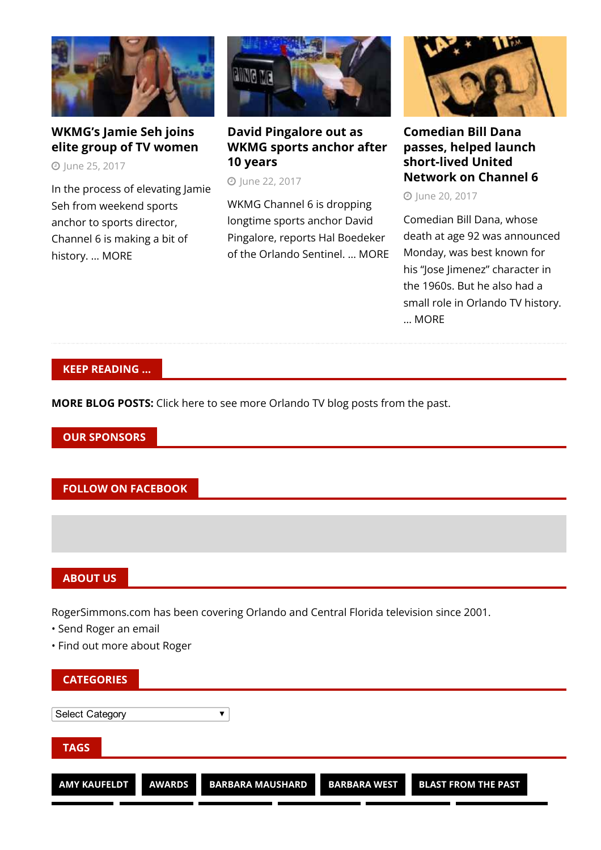

# [WKMG's](https://rogersimmons.com/wkmgs-jamie-seh-joins-elite-group-of-tv-women/2017/06/25/) Jamie Seh joins elite group of TV [women](https://rogersimmons.com/wkmgs-jamie-seh-joins-elite-group-of-tv-women/2017/06/25/)

June 25, [2017](https://rogersimmons.com/2017/06/)

In the process of elevating Jamie Seh from weekend sports anchor to sports director, Channel 6 is making a bit of history. … [MORE](https://rogersimmons.com/wkmgs-jamie-seh-joins-elite-group-of-tv-women/2017/06/25/)



# David [Pingalore](https://rogersimmons.com/david-ping-pingalore-out-as-wkmg-sports-anchor-after-10-years/2017/06/22/) out as WKMG sports [anchor](https://rogersimmons.com/david-ping-pingalore-out-as-wkmg-sports-anchor-after-10-years/2017/06/22/) after 10 [years](https://rogersimmons.com/david-ping-pingalore-out-as-wkmg-sports-anchor-after-10-years/2017/06/22/)

**O** June 22, [2017](https://rogersimmons.com/2017/06/)

WKMG Channel 6 is dropping longtime sports anchor David Pingalore, reports Hal Boedeker of the Orlando Sentinel. … [MORE](https://rogersimmons.com/david-ping-pingalore-out-as-wkmg-sports-anchor-after-10-years/2017/06/22/)



[Comedian](https://rogersimmons.com/comedian-bill-dana-passes-helped-launch-short-lived-united-network-on-channel-6/2017/06/20/) Bill Dana [passes,](https://rogersimmons.com/comedian-bill-dana-passes-helped-launch-short-lived-united-network-on-channel-6/2017/06/20/) helped launch [short-lived](https://rogersimmons.com/comedian-bill-dana-passes-helped-launch-short-lived-united-network-on-channel-6/2017/06/20/) United [Network](https://rogersimmons.com/comedian-bill-dana-passes-helped-launch-short-lived-united-network-on-channel-6/2017/06/20/) on Channel 6

**D** lune 20, [2017](https://rogersimmons.com/2017/06/)

Comedian Bill Dana, whose death at age 92 was announced Monday, was best known for his "Jose Jimenez" character in the 1960s. But he also had a small role in Orlando TV history. … [MORE](https://rogersimmons.com/comedian-bill-dana-passes-helped-launch-short-lived-united-network-on-channel-6/2017/06/20/)

#### KEEP READING …

MORE BLOG POSTS: Click here to see more [Orlando](http://rogersimmons.com/category/orlando-tv/page/2/) TV blog posts from the past.

OUR SPONSORS

#### FOLLOW ON FACEBOOK

#### ABOUT US

RogerSimmons.com has been covering Orlando and Central Florida television since 2001.

- Send [Roger](mailto:roger@rogersimmons.com) an email
- Find out more [about](https://rogersimmons.com/about/) Roger

| <b>CATEGORIES</b>   |               |                         |                     |                            |  |
|---------------------|---------------|-------------------------|---------------------|----------------------------|--|
| Select Category     |               |                         |                     |                            |  |
| <b>TAGS</b>         |               |                         |                     |                            |  |
| <b>AMY KAUFELDT</b> | <b>AWARDS</b> | <b>BARBARA MAUSHARD</b> | <b>BARBARA WEST</b> | <b>BLAST FROM THE PAST</b> |  |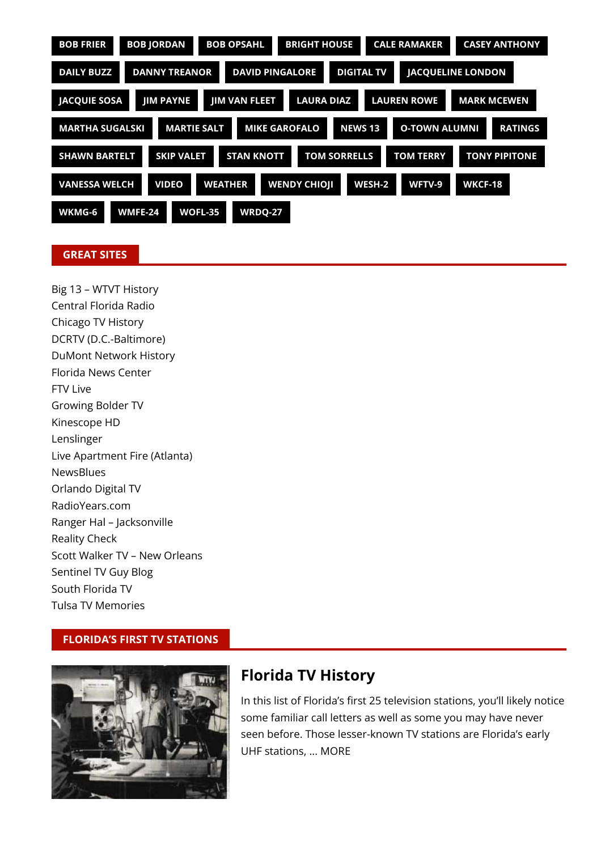| <b>BOB JORDAN</b><br><b>BOB FRIER</b><br><b>BOB OPSAHL</b><br><b>BRIGHT HOUSE</b><br><b>CALE RAMAKER</b><br><b>CASEY ANTHONY</b>  |  |  |  |  |  |
|-----------------------------------------------------------------------------------------------------------------------------------|--|--|--|--|--|
| <b>DIGITAL TV</b><br><b>DANNY TREANOR</b><br><b>DAVID PINGALORE</b><br><b>JACQUELINE LONDON</b><br><b>DAILY BUZZ</b>              |  |  |  |  |  |
| <b>MARK MCEWEN</b><br><b>JACQUIE SOSA</b><br><b>JIM VAN FLEET</b><br><b>LAURA DIAZ</b><br><b>LAUREN ROWE</b><br>JIM PAYNE         |  |  |  |  |  |
| <b>MARTIE SALT</b><br><b>MIKE GAROFALO</b><br><b>NEWS 13</b><br><b>O-TOWN ALUMNI</b><br><b>MARTHA SUGALSKI</b><br><b>RATINGS</b>  |  |  |  |  |  |
| <b>STAN KNOTT</b><br><b>TOM SORRELLS</b><br><b>TOM TERRY</b><br><b>TONY PIPITONE</b><br><b>SHAWN BARTELT</b><br><b>SKIP VALET</b> |  |  |  |  |  |
| <b>VANESSA WELCH</b><br><b>WEATHER</b><br><b>WENDY CHIOJI</b><br><b>VIDEO</b><br>WESH-2<br>WFTV-9<br><b>WKCF-18</b>               |  |  |  |  |  |
| WMFE-24<br><b>WOFL-35</b><br><b>WRDQ-27</b><br>WKMG-6                                                                             |  |  |  |  |  |

#### GREAT SITES

Big 13 – WTVT [History](http://www.big13.com/) [Central](http://www.cflradio.net/) Florida Radio [Chicago](http://www.chicagotelevision.com/) TV History DCRTV [\(D.C.-Baltimore\)](http://dcrtv.com/) DuMont [Network](http://www.dumonthistory.tv/index.html) History [Florida](http://www.flnewscenter.com/) News Center FTV [Live](http://www.ftvlive.com/) [Growing](http://growingboldertv.com/) Bolder TV [Kinescope](http://kinescopehd.blogspot.com/) HD [Lenslinger](http://lenslinger.com/) Live [Apartment](http://liveapartmentfire.com/) Fire (Atlanta) **[NewsBlues](http://www.newsblues.com/)** [Orlando](http://www.orlandodigital.tv/index.htm) Digital TV [RadioYears.com](http://radioyears.com/) Ranger Hal – [Jacksonville](http://members.cox.net/rangerhaljax/) [Reality](http://weblogs.baltimoresun.com/entertainment/realitycheck/blog/) Check Scott Walker TV – New [Orleans](http://www.scottwalkertv.com/) [Sentinel](http://blogs.orlandosentinel.com/entertainment_tv_tvblog/) TV Guy Blog South [Florida](http://www.sfltv.com/) TV Tulsa TV [Memories](http://tulsatvmemories.com/)

#### FLORIDA'S FIRST TV STATIONS



# Florida TV [History](https://rogersimmons.com/florida-television-history/)

In this list of Florida's first 25 television stations, you'll likely notice some familiar call letters as well as some you may have never seen before. Those lesser-known TV stations are Florida's early UHF stations, ... [MORE](https://rogersimmons.com/florida-television-history/)